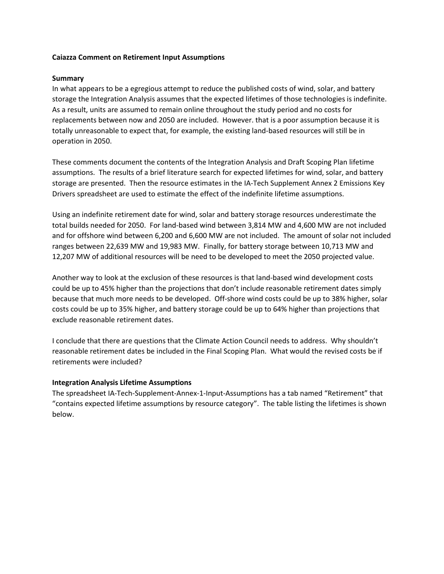#### **Caiazza Comment on Retirement Input Assumptions**

#### **Summary**

In what appears to be a egregious attempt to reduce the published costs of wind, solar, and battery storage the Integration Analysis assumes that the expected lifetimes of those technologies is indefinite. As a result, units are assumed to remain online throughout the study period and no costs for replacements between now and 2050 are included. However. that is a poor assumption because it is totally unreasonable to expect that, for example, the existing land-based resources will still be in operation in 2050.

These comments document the contents of the Integration Analysis and Draft Scoping Plan lifetime assumptions. The results of a brief literature search for expected lifetimes for wind, solar, and battery storage are presented. Then the resource estimates in the IA-Tech Supplement Annex 2 Emissions Key Drivers spreadsheet are used to estimate the effect of the indefinite lifetime assumptions.

Using an indefinite retirement date for wind, solar and battery storage resources underestimate the total builds needed for 2050. For land-based wind between 3,814 MW and 4,600 MW are not included and for offshore wind between 6,200 and 6,600 MW are not included. The amount of solar not included ranges between 22,639 MW and 19,983 MW. Finally, for battery storage between 10,713 MW and 12,207 MW of additional resources will be need to be developed to meet the 2050 projected value.

Another way to look at the exclusion of these resources is that land-based wind development costs could be up to 45% higher than the projections that don't include reasonable retirement dates simply because that much more needs to be developed. Off-shore wind costs could be up to 38% higher, solar costs could be up to 35% higher, and battery storage could be up to 64% higher than projections that exclude reasonable retirement dates.

I conclude that there are questions that the Climate Action Council needs to address. Why shouldn't reasonable retirement dates be included in the Final Scoping Plan. What would the revised costs be if retirements were included?

#### **Integration Analysis Lifetime Assumptions**

The spreadsheet IA-Tech-Supplement-Annex-1-Input-Assumptions has a tab named "Retirement" that "contains expected lifetime assumptions by resource category". The table listing the lifetimes is shown below.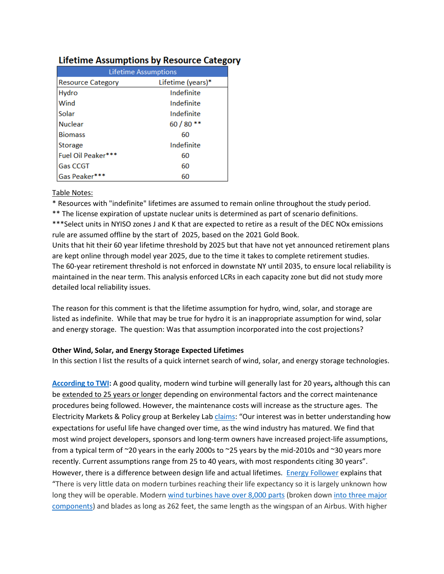|                          | <b>Lifetime Assumptions</b> |
|--------------------------|-----------------------------|
| <b>Resource Category</b> | Lifetime (years)*           |
| Hydro                    | Indefinite                  |
| Wind                     | Indefinite                  |
| Solar                    | Indefinite                  |
| <b>Nuclear</b>           | $60/80**$                   |
| <b>Biomass</b>           | 60                          |
| Storage                  | Indefinite                  |
| Fuel Oil Peaker***       | 60                          |
| <b>Gas CCGT</b>          | 60                          |
| Gas Peaker***            | 60                          |

# Lifetime Assumptions by Resource Category

### Table Notes:

\* Resources with "indefinite" lifetimes are assumed to remain online throughout the study period.

\*\* The license expiration of upstate nuclear units is determined as part of scenario definitions.

\*\*\*Select units in NYISO zones J and K that are expected to retire as a result of the DEC NOx emissions rule are assumed offline by the start of 2025, based on the 2021 Gold Book.

Units that hit their 60 year lifetime threshold by 2025 but that have not yet announced retirement plans are kept online through model year 2025, due to the time it takes to complete retirement studies. The 60-year retirement threshold is not enforced in downstate NY until 2035, to ensure local reliability is maintained in the near term. This analysis enforced LCRs in each capacity zone but did not study more detailed local reliability issues.

The reason for this comment is that the lifetime assumption for hydro, wind, solar, and storage are listed as indefinite. While that may be true for hydro it is an inappropriate assumption for wind, solar and energy storage. The question: Was that assumption incorporated into the cost projections?

### **Other Wind, Solar, and Energy Storage Expected Lifetimes**

In this section I list the results of a quick internet search of wind, solar, and energy storage technologies.

**[According to TWI:](https://www.twi-global.com/technical-knowledge/faqs/how-long-do-wind-turbines-last)** A good quality, modern wind turbine will generally last for 20 years**,** although this can be [extended to 25 years or longer](https://www.twi-global.com/technical-knowledge/faqs/how-long-do-wind-turbines-last#CantheirLifetimebeExtended) depending on environmental factors and the correct maintenance procedures being followed. However, the maintenance costs will increase as the structure ages. The Electricity Markets & Policy group at Berkeley Lab [claims](https://emp.lbl.gov/news/new-study-finds-expected-useful-life-wind): "Our interest was in better understanding how expectations for useful life have changed over time, as the wind industry has matured. We find that most wind project developers, sponsors and long-term owners have increased project-life assumptions, from a typical term of ~20 years in the early 2000s to ~25 years by the mid-2010s and ~30 years more recently. Current assumptions range from 25 to 40 years, with most respondents citing 30 years". However, there is a difference between design life and actual lifetimes. [Energy Follower](https://energyfollower.com/how-long-do-wind-turbines-last/) explains that "There is very little data on modern turbines reaching their life expectancy so it is largely unknown how long they will be operable. Moder[n wind turbines have over 8,000 parts](https://blog.ucsusa.org/) (broken down [into three major](https://energyfollower.com/parts-of-a-wind-turbine/)  [components\)](https://energyfollower.com/parts-of-a-wind-turbine/) and blades as long as 262 feet, the same length as the wingspan of an Airbus. With higher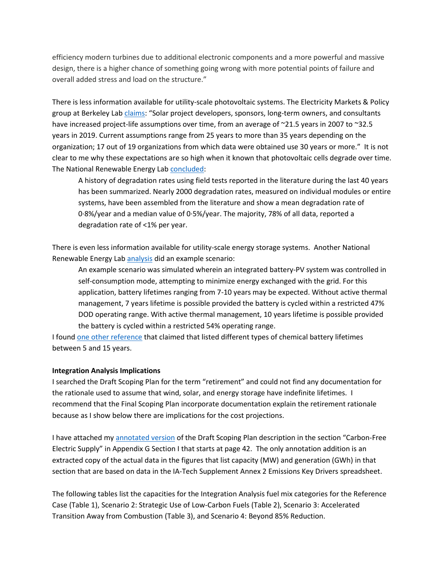efficiency modern turbines due to additional electronic components and a more powerful and massive design, there is a higher chance of something going wrong with more potential points of failure and overall added stress and load on the structure."

There is less information available for utility-scale photovoltaic systems. The Electricity Markets & Policy group at Berkeley La[b claims](https://emp.lbl.gov/news/new-study-finds-increase-expected-useful-life): "Solar project developers, sponsors, long-term owners, and consultants have increased project-life assumptions over time, from an average of ~21.5 years in 2007 to ~32.5 years in 2019. Current assumptions range from 25 years to more than 35 years depending on the organization; 17 out of 19 organizations from which data were obtained use 30 years or more." It is not clear to me why these expectations are so high when it known that photovoltaic cells degrade over time. The National Renewable Energy Lab [concluded:](https://www.nrel.gov/docs/fy12osti/51664.pdf)

A history of degradation rates using field tests reported in the literature during the last 40 years has been summarized. Nearly 2000 degradation rates, measured on individual modules or entire systems, have been assembled from the literature and show a mean degradation rate of 0·8%/year and a median value of 0·5%/year. The majority, 78% of all data, reported a degradation rate of <1% per year.

There is even less information available for utility-scale energy storage systems. Another National Renewable Energy Lab [analysis](https://www.nrel.gov/docs/fy17osti/67102.pdf) did an example scenario:

An example scenario was simulated wherein an integrated battery-PV system was controlled in self-consumption mode, attempting to minimize energy exchanged with the grid. For this application, battery lifetimes ranging from 7-10 years may be expected. Without active thermal management, 7 years lifetime is possible provided the battery is cycled within a restricted 47% DOD operating range. With active thermal management, 10 years lifetime is possible provided the battery is cycled within a restricted 54% operating range.

I found [one other reference](https://cleanenergygrid.org/wp-content/uploads/2014/08/Grid-Scale-Storage.pdf) that claimed that listed different types of chemical battery lifetimes between 5 and 15 years.

#### **Integration Analysis Implications**

I searched the Draft Scoping Plan for the term "retirement" and could not find any documentation for the rationale used to assume that wind, solar, and energy storage have indefinite lifetimes. I recommend that the Final Scoping Plan incorporate documentation explain the retirement rationale because as I show below there are implications for the cost projections.

I have attached m[y annotated version](https://pragmaticenvironmentalistofnewyork.files.wordpress.com/2022/06/appendix-g-carbon-free-electric-supply.pdf) of the Draft Scoping Plan description in the section "Carbon-Free Electric Supply" in Appendix G Section I that starts at page 42. The only annotation addition is an extracted copy of the actual data in the figures that list capacity (MW) and generation (GWh) in that section that are based on data in the IA-Tech Supplement Annex 2 Emissions Key Drivers spreadsheet.

The following tables list the capacities for the Integration Analysis fuel mix categories for the Reference Case (Table 1), Scenario 2: Strategic Use of Low-Carbon Fuels (Table 2), Scenario 3: Accelerated Transition Away from Combustion (Table 3), and Scenario 4: Beyond 85% Reduction.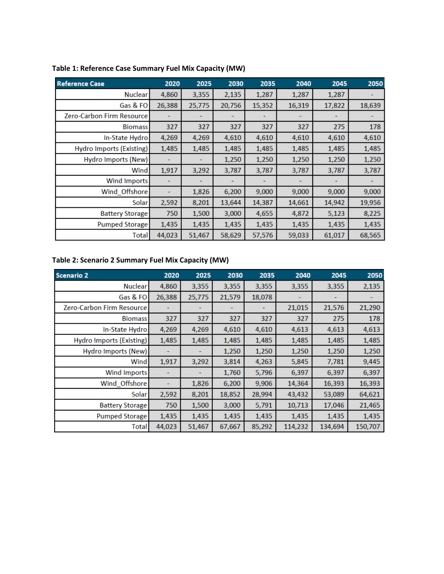| <b>Reference Case</b>     | 2020   | 2025   | 2030   | 2035   | 2040   | 2045   | 2050   |
|---------------------------|--------|--------|--------|--------|--------|--------|--------|
| <b>Nuclear</b>            | 4,860  | 3,355  | 2,135  | 1,287  | 1,287  | 1,287  |        |
| Gas & FO                  | 26,388 | 25,775 | 20,756 | 15,352 | 16,319 | 17,822 | 18,639 |
| Zero-Carbon Firm Resource |        |        |        |        |        |        |        |
| <b>Biomass</b>            | 327    | 327    | 327    | 327    | 327    | 275    | 178    |
| In-State Hydro            | 4,269  | 4,269  | 4,610  | 4,610  | 4,610  | 4,610  | 4,610  |
| Hydro Imports (Existing)  | 1,485  | 1,485  | 1,485  | 1,485  | 1,485  | 1,485  | 1,485  |
| Hydro Imports (New)       |        |        | 1,250  | 1,250  | 1,250  | 1,250  | 1,250  |
| Wind                      | 1,917  | 3,292  | 3,787  | 3,787  | 3,787  | 3,787  | 3,787  |
| <b>Wind Imports</b>       |        |        |        |        |        |        |        |
| Wind Offshore             |        | 1,826  | 6,200  | 9,000  | 9,000  | 9,000  | 9,000  |
| <b>Solar</b>              | 2,592  | 8,201  | 13,644 | 14,387 | 14,661 | 14,942 | 19,956 |
| <b>Battery Storage</b>    | 750    | 1,500  | 3,000  | 4,655  | 4,872  | 5,123  | 8,225  |
| <b>Pumped Storage</b>     | 1,435  | 1,435  | 1,435  | 1,435  | 1,435  | 1,435  | 1,435  |
| Total                     | 44,023 | 51,467 | 58,629 | 57,576 | 59,033 | 61,017 | 68,565 |

## **Table 1: Reference Case Summary Fuel Mix Capacity (MW)**

## **Table 2: Scenario 2 Summary Fuel Mix Capacity (MW)**

| <b>Scenario 2</b>         | 2020   | 2025   | 2030   | 2035   | 2040    | 2045    | 2050    |
|---------------------------|--------|--------|--------|--------|---------|---------|---------|
| Nuclear                   | 4,860  | 3,355  | 3,355  | 3,355  | 3,355   | 3,355   | 2,135   |
| Gas & FO                  | 26,388 | 25,775 | 21,579 | 18,078 |         |         |         |
| Zero-Carbon Firm Resource |        |        |        |        | 21,015  | 21,576  | 21,290  |
| <b>Biomass</b>            | 327    | 327    | 327    | 327    | 327     | 275     | 178     |
| In-State Hydro            | 4,269  | 4,269  | 4,610  | 4,610  | 4,613   | 4,613   | 4,613   |
| Hydro Imports (Existing)  | 1,485  | 1,485  | 1,485  | 1,485  | 1,485   | 1,485   | 1,485   |
| Hydro Imports (New)       |        |        | 1,250  | 1,250  | 1,250   | 1,250   | 1,250   |
| Wind                      | 1,917  | 3,292  | 3,814  | 4,263  | 5,845   | 7,781   | 9,445   |
| <b>Wind Imports</b>       |        |        | 1,760  | 5,796  | 6,397   | 6,397   | 6,397   |
| Wind_Offshore             |        | 1,826  | 6,200  | 9,906  | 14,364  | 16,393  | 16,393  |
| Solar                     | 2,592  | 8,201  | 18,852 | 28,994 | 43,432  | 53,089  | 64,621  |
| <b>Battery Storage</b>    | 750    | 1,500  | 3,000  | 5,791  | 10,713  | 17,046  | 21,465  |
| <b>Pumped Storage</b>     | 1,435  | 1,435  | 1,435  | 1,435  | 1,435   | 1,435   | 1,435   |
| Total                     | 44,023 | 51,467 | 67,667 | 85,292 | 114,232 | 134,694 | 150,707 |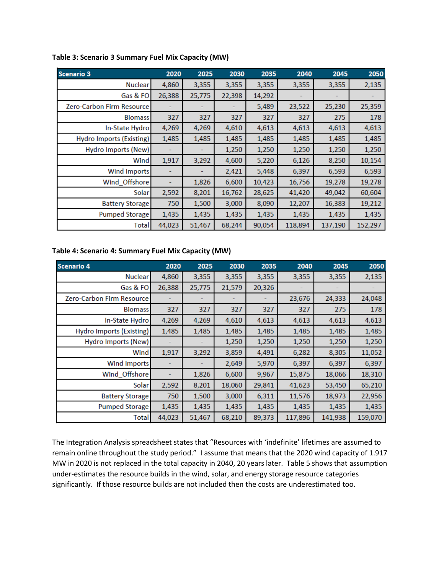| <b>Scenario 3</b>          | 2020   | 2025   | 2030   | 2035   | 2040    | 2045    | 2050    |
|----------------------------|--------|--------|--------|--------|---------|---------|---------|
| <b>Nuclear</b>             | 4,860  | 3,355  | 3,355  | 3,355  | 3,355   | 3,355   | 2,135   |
| Gas & FO                   | 26,388 | 25,775 | 22,398 | 14,292 |         |         |         |
| Zero-Carbon Firm Resource  |        |        |        | 5,489  | 23,522  | 25,230  | 25,359  |
| <b>Biomass</b>             | 327    | 327    | 327    | 327    | 327     | 275     | 178     |
| In-State Hydro             | 4,269  | 4,269  | 4,610  | 4,613  | 4,613   | 4,613   | 4,613   |
| Hydro Imports (Existing)   | 1,485  | 1,485  | 1,485  | 1,485  | 1,485   | 1,485   | 1,485   |
| <b>Hydro Imports (New)</b> |        |        | 1,250  | 1,250  | 1,250   | 1,250   | 1,250   |
| Wind                       | 1,917  | 3,292  | 4,600  | 5,220  | 6,126   | 8,250   | 10,154  |
| <b>Wind Imports</b>        |        |        | 2,421  | 5,448  | 6,397   | 6,593   | 6,593   |
| Wind Offshore              |        | 1,826  | 6,600  | 10,423 | 16,756  | 19,278  | 19,278  |
| Solar                      | 2,592  | 8,201  | 16,762 | 28,625 | 41,420  | 49,042  | 60,604  |
| <b>Battery Storage</b>     | 750    | 1,500  | 3,000  | 8,090  | 12,207  | 16,383  | 19,212  |
| <b>Pumped Storage</b>      | 1,435  | 1,435  | 1,435  | 1,435  | 1,435   | 1,435   | 1,435   |
| Total                      | 44,023 | 51,467 | 68,244 | 90,054 | 118,894 | 137,190 | 152,297 |

#### **Table 3: Scenario 3 Summary Fuel Mix Capacity (MW)**

#### **Table 4: Scenario 4: Summary Fuel Mix Capacity (MW)**

| <b>Scenario 4</b>               | 2020   | 2025   | 2030   | 2035   | 2040    | 2045    | 2050    |
|---------------------------------|--------|--------|--------|--------|---------|---------|---------|
| <b>Nuclear</b>                  | 4,860  | 3,355  | 3,355  | 3,355  | 3,355   | 3,355   | 2,135   |
| Gas & FO                        | 26,388 | 25,775 | 21,579 | 20,326 |         |         |         |
| Zero-Carbon Firm Resource       |        |        |        |        | 23,676  | 24,333  | 24,048  |
| <b>Biomass</b>                  | 327    | 327    | 327    | 327    | 327     | 275     | 178     |
| In-State Hydro                  | 4,269  | 4,269  | 4,610  | 4,613  | 4,613   | 4,613   | 4,613   |
| <b>Hydro Imports (Existing)</b> | 1,485  | 1,485  | 1,485  | 1,485  | 1,485   | 1,485   | 1,485   |
| <b>Hydro Imports (New)</b>      |        |        | 1,250  | 1,250  | 1,250   | 1,250   | 1,250   |
| Wind                            | 1,917  | 3,292  | 3,859  | 4,491  | 6,282   | 8,305   | 11,052  |
| <b>Wind Imports</b>             |        |        | 2,649  | 5,970  | 6,397   | 6,397   | 6,397   |
| Wind_Offshore                   |        | 1,826  | 6,600  | 9,967  | 15,875  | 18,066  | 18,310  |
| Solar                           | 2,592  | 8,201  | 18,060 | 29,841 | 41,623  | 53,450  | 65,210  |
| <b>Battery Storage</b>          | 750    | 1,500  | 3,000  | 6,311  | 11,576  | 18,973  | 22,956  |
| Pumped Storage                  | 1,435  | 1,435  | 1,435  | 1,435  | 1,435   | 1,435   | 1,435   |
| Total                           | 44,023 | 51,467 | 68,210 | 89,373 | 117,896 | 141,938 | 159,070 |

The Integration Analysis spreadsheet states that "Resources with 'indefinite' lifetimes are assumed to remain online throughout the study period." I assume that means that the 2020 wind capacity of 1.917 MW in 2020 is not replaced in the total capacity in 2040, 20 years later. Table 5 shows that assumption under-estimates the resource builds in the wind, solar, and energy storage resource categories significantly. If those resource builds are not included then the costs are underestimated too.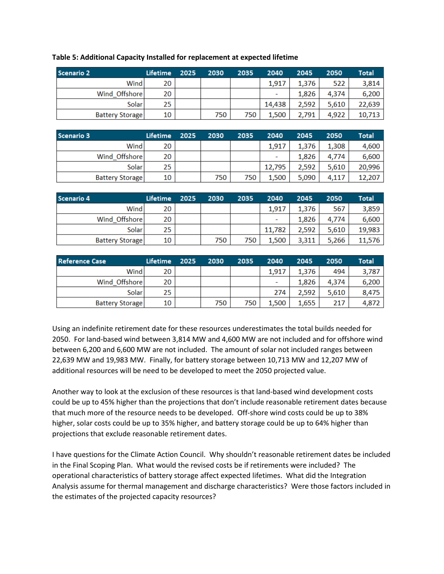| <b>Scenario 2</b>      | <b>Lifetime</b> | 2025 | 2030 | 2035 | 2040                     | 2045  | 2050  | <b>Total</b> |
|------------------------|-----------------|------|------|------|--------------------------|-------|-------|--------------|
| Wind                   | 20              |      |      |      | 1,917                    | 1,376 | 522   | 3,814        |
| Wind Offshore          | 20              |      |      |      | $\overline{\phantom{a}}$ | 1,826 | 4,374 | 6,200        |
| <b>Solar</b>           | 25              |      |      |      | 14,438                   | 2.592 | 5.610 | 22,639       |
| <b>Battery Storage</b> | 10              |      | 750  | 750  | 1,500                    | 2,791 | 4,922 | 10,713       |

#### **Table 5: Additional Capacity Installed for replacement at expected lifetime**

| <b>Scenario 3</b>      | <b>Lifetime</b> | 2025 | 2030 | 2035 | 2040   | 2045  | 2050  | Total  |
|------------------------|-----------------|------|------|------|--------|-------|-------|--------|
| Wind                   | 20              |      |      |      | 1.917  | 1,376 | 1,308 | 4,600  |
| Wind Offshore          | 20              |      |      |      | -      | 1.826 | 4,774 | 6,600  |
| Solar <sup>1</sup>     | 25              |      |      |      | 12,795 | 2.592 | 5,610 | 20,996 |
| <b>Battery Storage</b> | 10              |      | 750  | 750  | 1.500  | 5.090 | 4,117 | 12,207 |

| <b>Scenario 4</b>      | Lifetime | 2025 | 2030 | 2035 | 2040                     | 2045  | 2050  | Total  |
|------------------------|----------|------|------|------|--------------------------|-------|-------|--------|
| Windl                  | 20       |      |      |      | 1,917                    | 1,376 | 567   | 3,859  |
| Wind Offshore          | 20       |      |      |      | $\overline{\phantom{a}}$ | 1,826 | 4,774 | 6,600  |
| Solar <sup>1</sup>     | 25.      |      |      |      | 11.782                   | 2.592 | 5.610 | 19,983 |
| <b>Battery Storage</b> | 10       |      | 750  | 750  | 1,500                    | 3,311 | 5,266 | 11,576 |

| <b>Reference Case</b>  | Lifetime | 2025 | 2030 | 2035 | 2040  | 2045  | 2050  | Total |
|------------------------|----------|------|------|------|-------|-------|-------|-------|
| Wind                   | 20       |      |      |      | 1.917 | 1.376 | 494   | 3,787 |
| Wind Offshore          | 20       |      |      |      | -     | 1.826 | 4,374 | 6,200 |
| Solar <sup>1</sup>     | 25.      |      |      |      | 274   | 2.592 | 5,610 | 8,475 |
| <b>Battery Storage</b> | 10       |      | 750  | 750  | 1.500 | 1,655 | 217   | 4,872 |

Using an indefinite retirement date for these resources underestimates the total builds needed for 2050. For land-based wind between 3,814 MW and 4,600 MW are not included and for offshore wind between 6,200 and 6,600 MW are not included. The amount of solar not included ranges between 22,639 MW and 19,983 MW. Finally, for battery storage between 10,713 MW and 12,207 MW of additional resources will be need to be developed to meet the 2050 projected value.

Another way to look at the exclusion of these resources is that land-based wind development costs could be up to 45% higher than the projections that don't include reasonable retirement dates because that much more of the resource needs to be developed. Off-shore wind costs could be up to 38% higher, solar costs could be up to 35% higher, and battery storage could be up to 64% higher than projections that exclude reasonable retirement dates.

I have questions for the Climate Action Council. Why shouldn't reasonable retirement dates be included in the Final Scoping Plan. What would the revised costs be if retirements were included? The operational characteristics of battery storage affect expected lifetimes. What did the Integration Analysis assume for thermal management and discharge characteristics? Were those factors included in the estimates of the projected capacity resources?